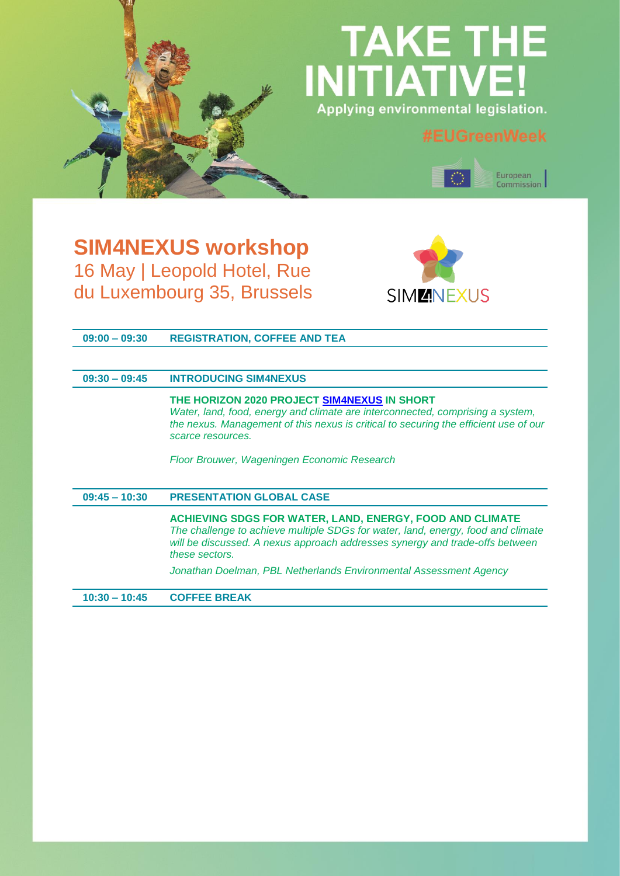# **TAKE THE INITIATIVE** Applying environmental legislation.



## **SIM4NEXUS workshop** 16 May | Leopold Hotel, Rue du Luxembourg 35, Brussels



| $09:00 - 09:30$ | <b>REGISTRATION, COFFEE AND TEA</b> |  |
|-----------------|-------------------------------------|--|
|                 |                                     |  |

### **09:30 – 09:45 INTRODUCING SIM4NEXUS**

**THE HORIZON 2020 PROJECT [SIM4NEXUS](https://www.sim4nexus.eu/) IN SHORT** *Water, land, food, energy and climate are interconnected, comprising a system, the nexus. Management of this nexus is critical to securing the efficient use of our scarce resources.*

*Floor Brouwer, Wageningen Economic Research*

#### **09:45 – 10:30 PRESENTATION GLOBAL CASE**

**ACHIEVING SDGS FOR WATER, LAND, ENERGY, FOOD AND CLIMATE** *The challenge to achieve multiple SDGs for water, land, energy, food and climate will be discussed. A nexus approach addresses synergy and trade-offs between these sectors.*

*Jonathan Doelman, PBL Netherlands Environmental Assessment Agency*

**10:30 – 10:45 COFFEE BREAK**